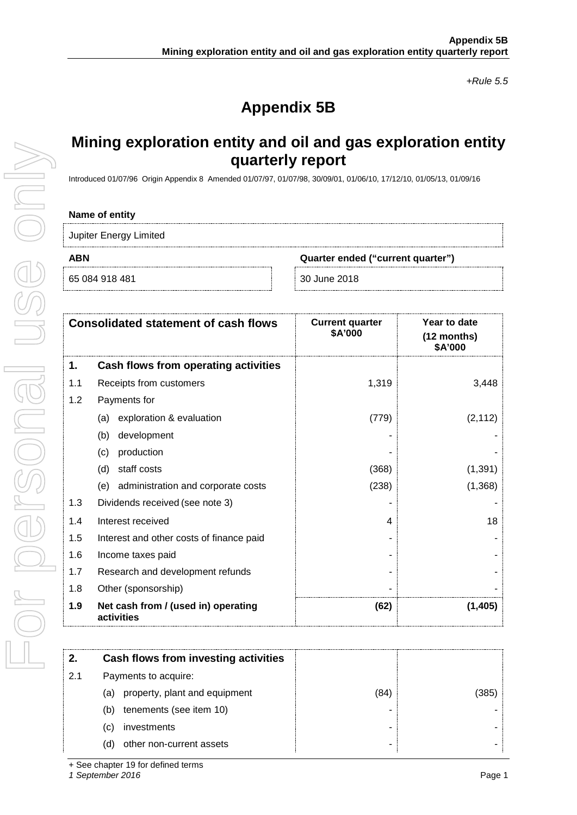*+Rule 5.5*

# **Appendix 5B**

## **Mining exploration entity and oil and gas exploration entity quarterly report**

Introduced 01/07/96 Origin Appendix 8 Amended 01/07/97, 01/07/98, 30/09/01, 01/06/10, 17/12/10, 01/05/13, 01/09/16

#### **Name of entity**

Jupiter Energy Limited

For personal use only

JSE ONIV

**ABN Quarter ended ("current quarter")**

65 084 918 481 30 June 2018

| <b>Consolidated statement of cash flows</b> |                                                   | <b>Current quarter</b><br>\$A'000 | Year to date<br>(12 months)<br>\$A'000 |
|---------------------------------------------|---------------------------------------------------|-----------------------------------|----------------------------------------|
| 1.                                          | Cash flows from operating activities              |                                   |                                        |
| 1.1                                         | Receipts from customers                           | 1,319                             | 3,448                                  |
| 1.2                                         | Payments for                                      |                                   |                                        |
|                                             | exploration & evaluation<br>(a)                   | (779)                             | (2, 112)                               |
|                                             | development<br>(b)                                |                                   |                                        |
|                                             | production<br>(c)                                 |                                   |                                        |
|                                             | staff costs<br>(d)                                | (368)                             | (1, 391)                               |
|                                             | (e) administration and corporate costs            | (238)                             | (1,368)                                |
| 1.3                                         | Dividends received (see note 3)                   |                                   |                                        |
| 1.4                                         | Interest received                                 | 4                                 | 18                                     |
| 1.5                                         | Interest and other costs of finance paid          |                                   |                                        |
| 1.6                                         | Income taxes paid                                 |                                   |                                        |
| 1.7                                         | Research and development refunds                  |                                   |                                        |
| 1.8                                         | Other (sponsorship)                               |                                   |                                        |
| 1.9                                         | Net cash from / (used in) operating<br>activities | (62)                              | (1, 405)                               |

| 2.  | Cash flows from investing activities |      |     |
|-----|--------------------------------------|------|-----|
| 2.1 | Payments to acquire:                 |      |     |
|     | property, plant and equipment<br>(a) | (84) | 385 |
|     | tenements (see item 10)<br>(b)       |      |     |
|     | investments<br>(C)                   |      |     |
|     | other non-current assets<br>d'       |      |     |

+ See chapter 19 for defined terms

*1 September 2016* Page 1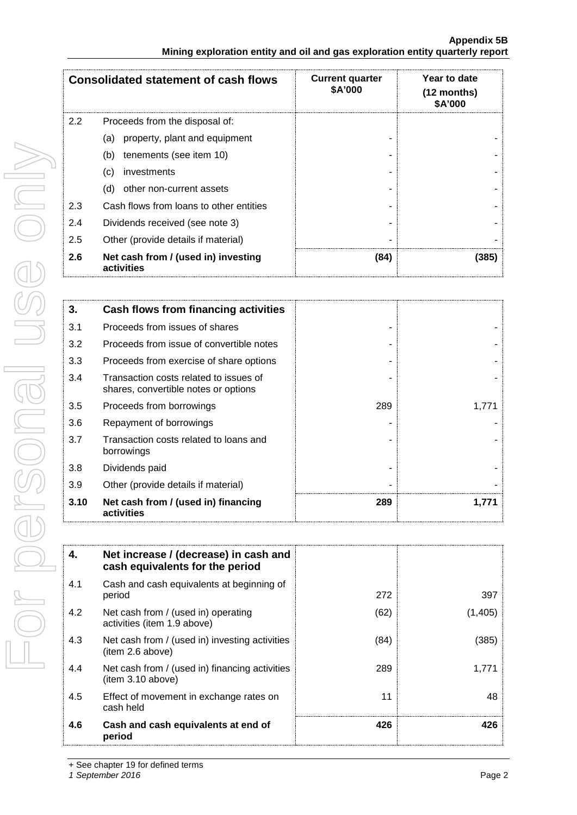#### **Appendix 5B Mining exploration entity and oil and gas exploration entity quarterly report**

|     | <b>Consolidated statement of cash flows</b>       | <b>Current quarter</b><br><b>\$A'000</b> | Year to date<br>$(12$ months)<br>\$A'000 |
|-----|---------------------------------------------------|------------------------------------------|------------------------------------------|
| 2.2 | Proceeds from the disposal of:                    |                                          |                                          |
|     | property, plant and equipment<br>(a)              |                                          |                                          |
|     | tenements (see item 10)<br>(b)                    |                                          |                                          |
|     | investments<br>(c)                                |                                          |                                          |
|     | other non-current assets<br>(d)                   |                                          |                                          |
| 2.3 | Cash flows from loans to other entities           |                                          |                                          |
| 2.4 | Dividends received (see note 3)                   |                                          |                                          |
| 2.5 | Other (provide details if material)               |                                          |                                          |
| 2.6 | Net cash from / (used in) investing<br>activities | (84)                                     | 385)                                     |

| 3.   | <b>Cash flows from financing activities</b>                                    |     |       |
|------|--------------------------------------------------------------------------------|-----|-------|
| 3.1  | Proceeds from issues of shares                                                 |     |       |
| 3.2  | Proceeds from issue of convertible notes                                       |     |       |
| 3.3  | Proceeds from exercise of share options                                        |     |       |
| 3.4  | Transaction costs related to issues of<br>shares, convertible notes or options |     |       |
| 3.5  | Proceeds from borrowings                                                       | 289 | 1.771 |
| 3.6  | Repayment of borrowings                                                        |     |       |
| 3.7  | Transaction costs related to loans and<br>borrowings                           |     |       |
| 3.8  | Dividends paid                                                                 |     |       |
| 3.9  | Other (provide details if material)                                            |     |       |
| 3.10 | Net cash from / (used in) financing<br>activities                              | 289 | 1,771 |

| 4.  | Net increase / (decrease) in cash and<br>cash equivalents for the period |      |         |
|-----|--------------------------------------------------------------------------|------|---------|
| 4.1 | Cash and cash equivalents at beginning of<br>period                      | 272  | 397     |
| 4.2 | Net cash from / (used in) operating<br>activities (item 1.9 above)       | (62) | (1,405) |
| 4.3 | Net cash from / (used in) investing activities<br>(item 2.6 above)       | (84) | (385    |
| 4.4 | Net cash from / (used in) financing activities<br>item 3.10 above)       | 289  | 1.771   |
| 4.5 | Effect of movement in exchange rates on<br>cash held                     | 11   | 48      |
| 4.6 | Cash and cash equivalents at end of<br>period                            | 426  | 426     |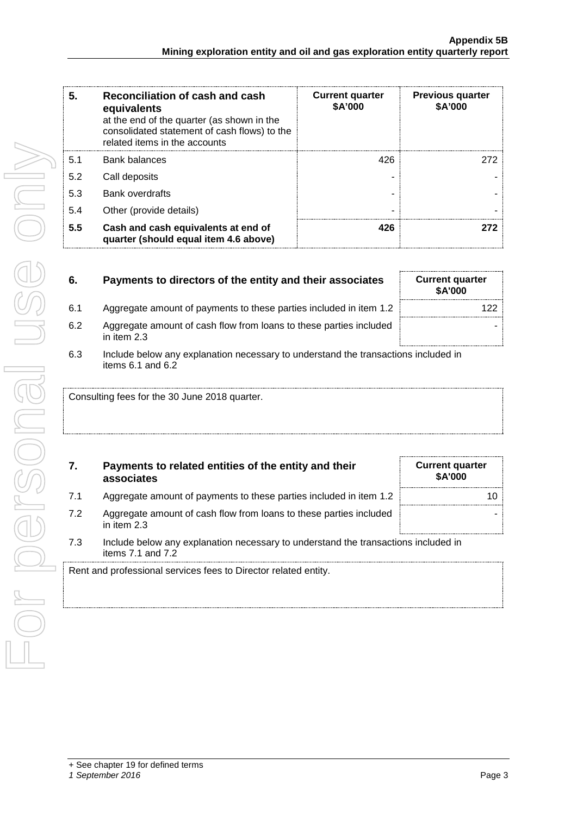| 5.  | Reconciliation of cash and cash<br>equivalents<br>at the end of the quarter (as shown in the<br>consolidated statement of cash flows) to the<br>related items in the accounts | <b>Current quarter</b><br>\$A'000 | <b>Previous quarter</b><br>\$A'000 |
|-----|-------------------------------------------------------------------------------------------------------------------------------------------------------------------------------|-----------------------------------|------------------------------------|
| 5.1 | Bank balances                                                                                                                                                                 | 426                               | 272                                |
| 5.2 | Call deposits                                                                                                                                                                 |                                   |                                    |
| 5.3 | <b>Bank overdrafts</b>                                                                                                                                                        |                                   |                                    |
| 5.4 | Other (provide details)                                                                                                                                                       |                                   |                                    |
| 5.5 | Cash and cash equivalents at end of<br>quarter (should equal item 4.6 above)                                                                                                  | 426                               | 272                                |

| 6.  | Payments to directors of the entity and their associates                          | <b>Current quarter</b><br><b>\$A'000</b> |
|-----|-----------------------------------------------------------------------------------|------------------------------------------|
| 6.1 | Aggregate amount of payments to these parties included in item 1.2                | 122                                      |
| 6.2 | Aggregate amount of cash flow from loans to these parties included<br>in item 2.3 |                                          |

6.3 Include below any explanation necessary to understand the transactions included in items 6.1 and 6.2

Consulting fees for the 30 June 2018 quarter.

### **7. Payments to related entities of the entity and their associates**

- 7.1 Aggregate amount of payments to these parties included in item 1.2 | Aggregate amount of payments to these parties included in item 1.2 | Aggregate amount of payments to these parties included in item 1.2 | Aggregate a
- 7.2 Aggregate amount of cash flow from loans to these parties included in item 2.3
- 7.3 Include below any explanation necessary to understand the transactions included in items 7.1 and 7.2

Rent and professional services fees to Director related entity.

**Current quarter \$A'000**

-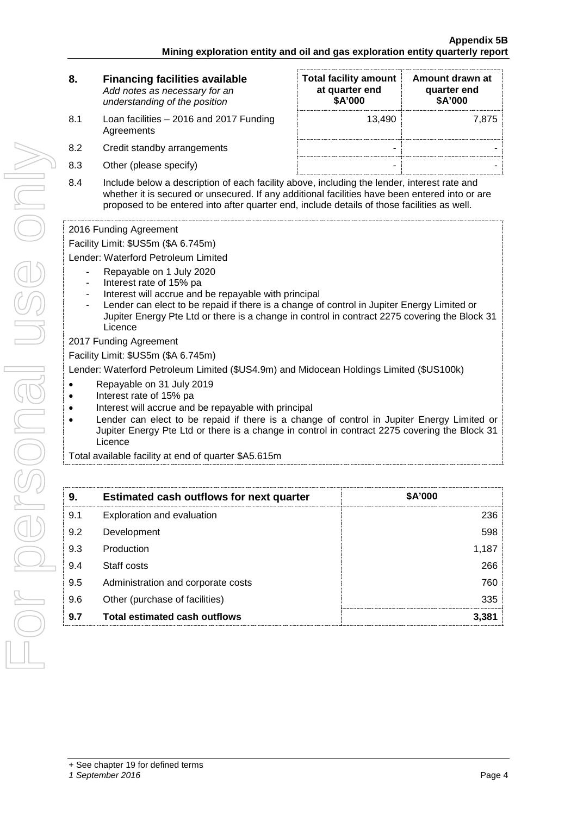**Total facility amount** 

**Amount drawn at** 

| 8.1<br>Loan facilities - 2016 and 2017 Funding<br>13,490<br>Agreements<br>8.2<br>Credit standby arrangements<br>8.3<br>Other (please specify)<br>Include below a description of each facility above, including the lender, interest rate and<br>8.4<br>whether it is secured or unsecured. If any additional facilities have been entered into or are<br>proposed to be entered into after quarter end, include details of those facilities as well.<br>2016 Funding Agreement<br>Facility Limit: \$US5m (\$A 6.745m)<br>Lender: Waterford Petroleum Limited<br>Repayable on 1 July 2020<br>Interest rate of 15% pa<br>Interest will accrue and be repayable with principal<br>Lender can elect to be repaid if there is a change of control in Jupiter Energy Limited or<br>Jupiter Energy Pte Ltd or there is a change in control in contract 2275 covering the Block 31<br>Licence<br>2017 Funding Agreement<br>Facility Limit: \$US5m (\$A 6.745m)<br>Lender: Waterford Petroleum Limited (\$US4.9m) and Midocean Holdings Limited (\$US100k)<br>Repayable on 31 July 2019<br>Interest rate of 15% pa<br>Interest will accrue and be repayable with principal<br>Lender can elect to be repaid if there is a change of control in Jupiter Energy Limited or<br>Jupiter Energy Pte Ltd or there is a change in control in contract 2275 covering the Block 31<br>Licence<br>Total available facility at end of quarter \$A5.615m<br>\$A'000<br><b>Estimated cash outflows for next quarter</b><br>9. | Add notes as necessary for an<br>understanding of the position | at quarter end<br>\$A'000 | quarter end<br>\$A'000 |
|---------------------------------------------------------------------------------------------------------------------------------------------------------------------------------------------------------------------------------------------------------------------------------------------------------------------------------------------------------------------------------------------------------------------------------------------------------------------------------------------------------------------------------------------------------------------------------------------------------------------------------------------------------------------------------------------------------------------------------------------------------------------------------------------------------------------------------------------------------------------------------------------------------------------------------------------------------------------------------------------------------------------------------------------------------------------------------------------------------------------------------------------------------------------------------------------------------------------------------------------------------------------------------------------------------------------------------------------------------------------------------------------------------------------------------------------------------------------------------------------------------|----------------------------------------------------------------|---------------------------|------------------------|
|                                                                                                                                                                                                                                                                                                                                                                                                                                                                                                                                                                                                                                                                                                                                                                                                                                                                                                                                                                                                                                                                                                                                                                                                                                                                                                                                                                                                                                                                                                         |                                                                |                           | 7,875                  |
|                                                                                                                                                                                                                                                                                                                                                                                                                                                                                                                                                                                                                                                                                                                                                                                                                                                                                                                                                                                                                                                                                                                                                                                                                                                                                                                                                                                                                                                                                                         |                                                                |                           |                        |
|                                                                                                                                                                                                                                                                                                                                                                                                                                                                                                                                                                                                                                                                                                                                                                                                                                                                                                                                                                                                                                                                                                                                                                                                                                                                                                                                                                                                                                                                                                         |                                                                |                           |                        |
|                                                                                                                                                                                                                                                                                                                                                                                                                                                                                                                                                                                                                                                                                                                                                                                                                                                                                                                                                                                                                                                                                                                                                                                                                                                                                                                                                                                                                                                                                                         |                                                                |                           |                        |
|                                                                                                                                                                                                                                                                                                                                                                                                                                                                                                                                                                                                                                                                                                                                                                                                                                                                                                                                                                                                                                                                                                                                                                                                                                                                                                                                                                                                                                                                                                         |                                                                |                           |                        |
|                                                                                                                                                                                                                                                                                                                                                                                                                                                                                                                                                                                                                                                                                                                                                                                                                                                                                                                                                                                                                                                                                                                                                                                                                                                                                                                                                                                                                                                                                                         |                                                                |                           |                        |
|                                                                                                                                                                                                                                                                                                                                                                                                                                                                                                                                                                                                                                                                                                                                                                                                                                                                                                                                                                                                                                                                                                                                                                                                                                                                                                                                                                                                                                                                                                         |                                                                |                           |                        |
|                                                                                                                                                                                                                                                                                                                                                                                                                                                                                                                                                                                                                                                                                                                                                                                                                                                                                                                                                                                                                                                                                                                                                                                                                                                                                                                                                                                                                                                                                                         |                                                                |                           |                        |
|                                                                                                                                                                                                                                                                                                                                                                                                                                                                                                                                                                                                                                                                                                                                                                                                                                                                                                                                                                                                                                                                                                                                                                                                                                                                                                                                                                                                                                                                                                         |                                                                |                           |                        |
|                                                                                                                                                                                                                                                                                                                                                                                                                                                                                                                                                                                                                                                                                                                                                                                                                                                                                                                                                                                                                                                                                                                                                                                                                                                                                                                                                                                                                                                                                                         |                                                                |                           |                        |
|                                                                                                                                                                                                                                                                                                                                                                                                                                                                                                                                                                                                                                                                                                                                                                                                                                                                                                                                                                                                                                                                                                                                                                                                                                                                                                                                                                                                                                                                                                         |                                                                |                           |                        |
|                                                                                                                                                                                                                                                                                                                                                                                                                                                                                                                                                                                                                                                                                                                                                                                                                                                                                                                                                                                                                                                                                                                                                                                                                                                                                                                                                                                                                                                                                                         |                                                                |                           |                        |
|                                                                                                                                                                                                                                                                                                                                                                                                                                                                                                                                                                                                                                                                                                                                                                                                                                                                                                                                                                                                                                                                                                                                                                                                                                                                                                                                                                                                                                                                                                         |                                                                |                           |                        |
|                                                                                                                                                                                                                                                                                                                                                                                                                                                                                                                                                                                                                                                                                                                                                                                                                                                                                                                                                                                                                                                                                                                                                                                                                                                                                                                                                                                                                                                                                                         |                                                                |                           |                        |
|                                                                                                                                                                                                                                                                                                                                                                                                                                                                                                                                                                                                                                                                                                                                                                                                                                                                                                                                                                                                                                                                                                                                                                                                                                                                                                                                                                                                                                                                                                         |                                                                |                           |                        |
|                                                                                                                                                                                                                                                                                                                                                                                                                                                                                                                                                                                                                                                                                                                                                                                                                                                                                                                                                                                                                                                                                                                                                                                                                                                                                                                                                                                                                                                                                                         |                                                                |                           |                        |
|                                                                                                                                                                                                                                                                                                                                                                                                                                                                                                                                                                                                                                                                                                                                                                                                                                                                                                                                                                                                                                                                                                                                                                                                                                                                                                                                                                                                                                                                                                         |                                                                |                           |                        |

9.1 Exploration and evaluation 236 9.2 Development 598 9.3 Production 1,187  $9.4$  Staff costs  $266$ 9.5 Administration and corporate costs **760** 9.6 Other (purchase of facilities) 335 **9.7 Total estimated cash outflows 3,381**

**8. Financing facilities available**

+ See chapter 19 for defined terms

#### *1 September 2016* Page 4